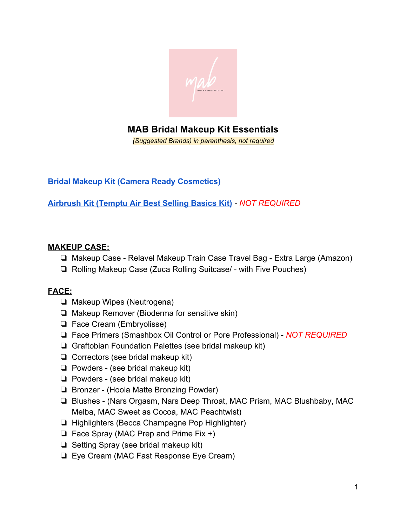

**MAB Bridal Makeup Kit Essentials**

*(Suggested Brands) in parenthesis, not required*

**[Bridal Makeup Kit \(Camera Ready Cosmetics\)](https://camerareadycosmetics.com/collections/professional-makeup-kits/products/bridal-makeup-kit)**

**[Airbrush Kit \(Temptu Air Best Selling Basics Kit\)](https://camerareadycosmetics.com/collections/professional-makeup-kits/products/temptu-air-best-selling-basics-kit)** *- NOT REQUIRED*

#### **MAKEUP CASE:**

- ❏ Makeup Case Relavel Makeup Train Case Travel Bag Extra Large (Amazon)
- ❏ Rolling Makeup Case (Zuca Rolling Suitcase/ with Five Pouches)

## **FACE:**

- ❏ Makeup Wipes (Neutrogena)
- ❏ Makeup Remover (Bioderma for sensitive skin)
- ❏ Face Cream (Embryolisse)
- ❏ Face Primers (Smashbox Oil Control or Pore Professional) *NOT REQUIRED*
- ❏ Graftobian Foundation Palettes (see bridal makeup kit)
- ❏ Correctors (see bridal makeup kit)
- ❏ Powders (see bridal makeup kit)
- ❏ Powders (see bridal makeup kit)
- ❏ Bronzer (Hoola Matte Bronzing Powder)
- ❏ Blushes (Nars Orgasm, Nars Deep Throat, MAC Prism, MAC Blushbaby, MAC Melba, MAC Sweet as Cocoa, MAC Peachtwist)
- ❏ Highlighters (Becca Champagne Pop Highlighter)
- ❏ Face Spray (MAC Prep and Prime Fix +)
- ❏ Setting Spray (see bridal makeup kit)
- ❏ Eye Cream (MAC Fast Response Eye Cream)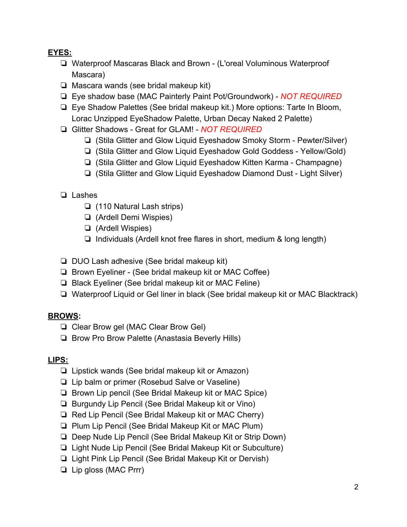# **EYES:**

- ❏ Waterproof Mascaras Black and Brown (L'oreal Voluminous Waterproof Mascara)
- ❏ Mascara wands (see bridal makeup kit)
- ❏ Eye shadow base (MAC Painterly Paint Pot/Groundwork) *NOT REQUIRED*
- ❏ Eye Shadow Palettes (See bridal makeup kit.) More options: Tarte In Bloom, Lorac Unzipped EyeShadow Palette, Urban Decay Naked 2 Palette)
- ❏ Glitter Shadows Great for GLAM! *NOT REQUIRED*
	- ❏ (Stila Glitter and Glow Liquid Eyeshadow Smoky Storm Pewter/Silver)
	- ❏ (Stila Glitter and Glow Liquid Eyeshadow Gold Goddess Yellow/Gold)
	- ❏ (Stila Glitter and Glow Liquid Eyeshadow Kitten Karma Champagne)
	- ❏ (Stila Glitter and Glow Liquid Eyeshadow Diamond Dust Light Silver)
- ❏ Lashes
	- ❏ (110 Natural Lash strips)
	- ❏ (Ardell Demi Wispies)
	- ❏ (Ardell Wispies)
	- ❏ Individuals (Ardell knot free flares in short, medium & long length)
- ❏ DUO Lash adhesive (See bridal makeup kit)
- ❏ Brown Eyeliner (See bridal makeup kit or MAC Coffee)
- ❏ Black Eyeliner (See bridal makeup kit or MAC Feline)
- ❏ Waterproof Liquid or Gel liner in black (See bridal makeup kit or MAC Blacktrack)

## **BROWS:**

- ❏ Clear Brow gel (MAC Clear Brow Gel)
- ❏ Brow Pro Brow Palette (Anastasia Beverly Hills)

## **LIPS:**

- ❏ Lipstick wands (See bridal makeup kit or Amazon)
- ❏ Lip balm or primer (Rosebud Salve or Vaseline)
- ❏ Brown Lip pencil (See Bridal Makeup kit or MAC Spice)
- ❏ Burgundy Lip Pencil (See Bridal Makeup kit or Vino)
- ❏ Red Lip Pencil (See Bridal Makeup kit or MAC Cherry)
- ❏ Plum Lip Pencil (See Bridal Makeup Kit or MAC Plum)
- ❏ Deep Nude Lip Pencil (See Bridal Makeup Kit or Strip Down)
- ❏ Light Nude Lip Pencil (See Bridal Makeup Kit or Subculture)
- ❏ Light Pink Lip Pencil (See Bridal Makeup Kit or Dervish)
- ❏ Lip gloss (MAC Prrr)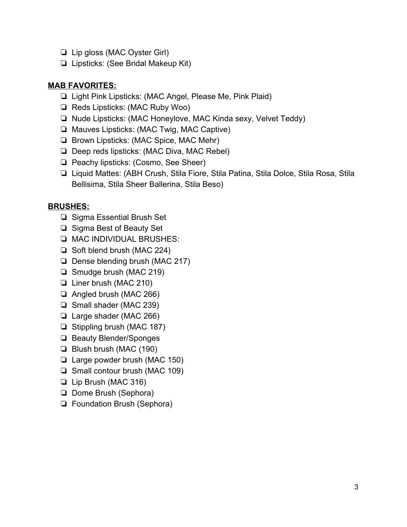- ❏ Lip gloss (MAC Oyster Girl)
- ❏ Lipsticks: (See Bridal Makeup Kit)

#### **MAB FAVORITES:**

- ❏ Light Pink Lipsticks: (MAC Angel, Please Me, Pink Plaid)
- ❏ Reds Lipsticks: (MAC Ruby Woo)
- ❏ Nude Lipsticks: (MAC Honeylove, MAC Kinda sexy, Velvet Teddy)
- ❏ Mauves Lipsticks: (MAC Twig, MAC Captive)
- ❏ Brown Lipsticks: (MAC Spice, MAC Mehr)
- ❏ Deep reds lipsticks: (MAC Diva, MAC Rebel)
- ❏ Peachy lipsticks: (Cosmo, See Sheer)
- ❏ Liquid Mattes: (ABH Crush, Stila Fiore, Stila Patina, Stila Dolce, Stila Rosa, Stila Bellisima, Stila Sheer Ballerina, Stila Beso)

## **BRUSHES:**

- ❏ Sigma Essential Brush Set
- ❏ Sigma Best of Beauty Set
- ❏ MAC INDIVIDUAL BRUSHES:
- ❏ Soft blend brush (MAC 224)
- ❏ Dense blending brush (MAC 217)
- ❏ Smudge brush (MAC 219)
- ❏ Liner brush (MAC 210)
- ❏ Angled brush (MAC 266)
- ❏ Small shader (MAC 239)
- ❏ Large shader (MAC 266)
- ❏ Stippling brush (MAC 187)
- ❏ Beauty Blender/Sponges
- ❏ Blush brush (MAC (190)
- ❏ Large powder brush (MAC 150)
- ❏ Small contour brush (MAC 109)
- ❏ Lip Brush (MAC 316)
- ❏ Dome Brush (Sephora)
- ❏ Foundation Brush (Sephora)